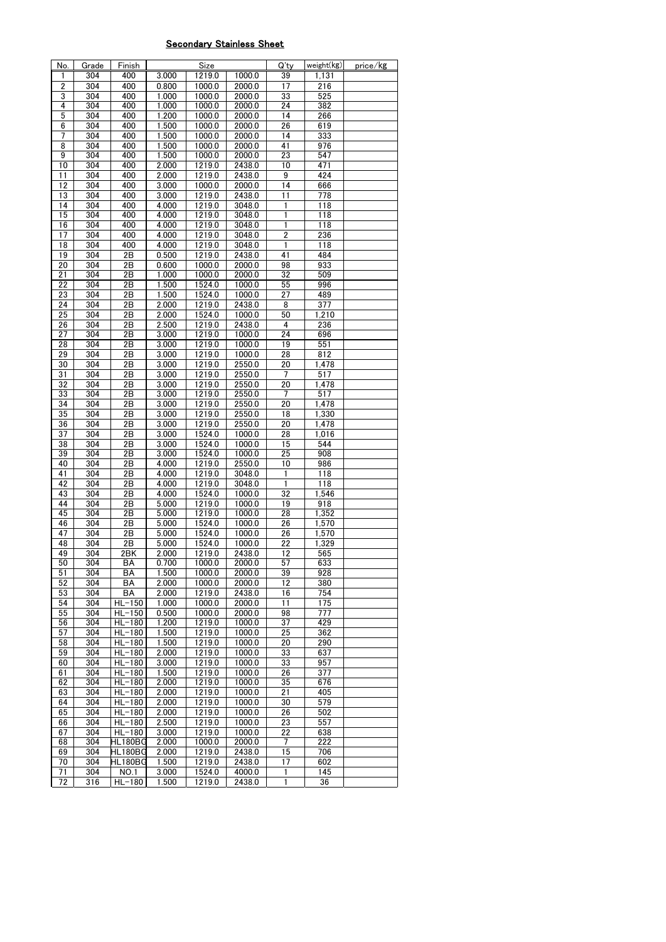## Secondary Stainless Sheet

| No.             | Grade            | Finish                              |       | Size   |        | Q'ty            | weight(kg) | price/kg |
|-----------------|------------------|-------------------------------------|-------|--------|--------|-----------------|------------|----------|
| 1               | 304              | 400                                 | 3.000 | 1219.0 | 1000.0 | 39              | 1,131      |          |
| $\overline{2}$  | 304              | 400                                 | 0.800 | 1000.0 | 2000.0 | 17              | 216        |          |
|                 |                  |                                     |       |        |        |                 |            |          |
| 3               | 304              | 400                                 | 1.000 | 1000.0 | 2000.0 | 33              | 525        |          |
| 4               | 304              | 400                                 | 1.000 | 1000.0 | 2000.0 | 24              | 382        |          |
| 5               | 304              | 400                                 | 1.200 | 1000.0 | 2000.0 | 14              | 266        |          |
|                 |                  |                                     |       |        |        |                 |            |          |
| 6               | 304              | 400                                 | 1.500 | 1000.0 | 2000.0 | 26              | 619        |          |
| 7               | 304              | 400                                 | 1.500 | 1000.0 | 2000.0 | 14              | 333        |          |
|                 |                  |                                     |       |        |        |                 |            |          |
| 8               | 304              | 400                                 | 1.500 | 1000.0 | 2000.0 | 41              | 976        |          |
| 9               | 304              | 400                                 | 1.500 | 1000.0 | 2000.0 | 23              | 547        |          |
| 10              | 304              | 400                                 | 2.000 | 1219.0 | 2438.0 | 10              | 471        |          |
|                 |                  |                                     |       |        |        |                 |            |          |
| 11              | 304              | 400                                 | 2.000 | 1219.0 | 2438.0 | 9               | 424        |          |
| $\overline{12}$ | 304              | 400                                 | 3.000 | 1000.0 | 2000.0 | $\overline{14}$ | 666        |          |
| 13              | 304              | 400                                 | 3.000 | 1219.0 | 2438.0 | $\overline{11}$ | 778        |          |
|                 |                  |                                     |       |        |        |                 |            |          |
| 14              | 304              | 400                                 | 4.000 | 1219.0 | 3048.0 | 1               | 118        |          |
| 15              | 304              | 400                                 | 4.000 | 1219.0 | 3048.0 | 1               | 118        |          |
| 16              | 304              | 400                                 | 4.000 | 1219.0 | 3048.0 | 1               | 118        |          |
|                 |                  |                                     |       |        |        |                 |            |          |
| 17              | 304              | 400                                 | 4.000 | 1219.0 | 3048.0 | $\overline{2}$  | 236        |          |
| 18              | 304              | 400                                 | 4.000 | 1219.0 | 3048.0 | 1               | 118        |          |
| 19              | 304              | 2B                                  | 0.500 | 1219.0 | 2438.0 | 41              | 484        |          |
|                 |                  |                                     |       |        |        |                 |            |          |
| 20              | 304              | 2B                                  | 0.600 | 1000.0 | 2000.0 | 98              | 933        |          |
| 21              | 304              | 2Β                                  | 1.000 | 1000.0 | 2000.0 | 32              | 509        |          |
| 22              | 304              | 2B                                  |       |        |        |                 | 996        |          |
|                 |                  |                                     | 1.500 | 1524.0 | 1000.0 | 55              |            |          |
| 23              | 304              | 2B                                  | 1.500 | 1524.0 | 1000.0 | 27              | 489        |          |
| 24              | 304              | 2B                                  | 2.000 | 1219.0 | 2438.0 | 8               | 377        |          |
|                 |                  |                                     |       |        |        |                 |            |          |
| 25              | 304              | 2B                                  | 2.000 | 1524.0 | 1000.0 | 50              | 1,210      |          |
| 26              | 304              | 2B                                  | 2.500 | 1219.0 | 2438.0 | 4               | 236        |          |
| $\overline{27}$ | 304              | 2B                                  | 3.000 | 1219.0 | 1000.0 | 24              | 696        |          |
|                 |                  |                                     |       |        |        |                 |            |          |
| 28              | $\overline{304}$ | 2B                                  | 3.000 | 1219.0 | 1000.0 | 19              | 551        |          |
| 29              | 304              | 2B                                  | 3.000 | 1219.0 | 1000.0 | 28              | 812        |          |
| 30              | 304              | 2B                                  | 3.000 | 1219.0 | 2550.0 | 20              | 1,478      |          |
|                 |                  |                                     |       |        |        |                 |            |          |
| $\overline{31}$ | 304              | 2B                                  | 3.000 | 1219.0 | 2550.0 | 7               | 517        |          |
| 32              | 304              | 2B                                  | 3.000 | 1219.0 | 2550.0 | $\overline{20}$ | 1,478      |          |
| 33              | 304              | 2B                                  | 3.000 | 1219.0 | 2550.0 | 7               | 517        |          |
|                 |                  |                                     |       |        |        |                 |            |          |
| 34              | 304              | 2B                                  | 3.000 | 1219.0 | 2550.0 | 20              | 1,478      |          |
| 35              | 304              | 2B                                  | 3.000 | 1219.0 | 2550.0 | 18              | 1,330      |          |
|                 | 304              |                                     |       |        |        |                 |            |          |
| 36              |                  | 2B                                  | 3.000 | 1219.0 | 2550.0 | $\overline{20}$ | 1,478      |          |
| 37              | 304              | 2B                                  | 3.000 | 1524.0 | 1000.0 | 28              | 1,016      |          |
| 38              | 304              | 2B                                  | 3.000 | 1524.0 | 1000.0 | 15              | 544        |          |
|                 |                  |                                     |       |        |        |                 |            |          |
| 39              | 304              | 2B                                  | 3.000 | 1524.0 | 1000.0 | 25              | 908        |          |
| 40              | 304              | 2B                                  | 4.000 | 1219.0 | 2550.0 | 10              | 986        |          |
| 41              | 304              | 2B                                  | 4.000 | 1219.0 | 3048.0 | 1               | 118        |          |
|                 |                  |                                     |       |        |        |                 |            |          |
| 42              | 304              | 2B                                  | 4.000 | 1219.0 | 3048.0 | 1               | 118        |          |
| 43              | 304              | 2B                                  | 4.000 | 1524.0 | 1000.0 | $\overline{32}$ | 1.546      |          |
| 44              | 304              | 2B                                  | 5.000 | 1219.0 | 1000.0 | 19              | 918        |          |
|                 |                  |                                     |       |        |        |                 |            |          |
| 45              | 304              | 2B                                  | 5.000 | 1219.0 | 1000.0 | 28              | 1,352      |          |
| 46              | 304              | 2Β                                  | 5.000 | 1524.0 | 1000.0 | 26              | 1,570      |          |
|                 |                  |                                     |       |        |        |                 |            |          |
| 47              | 304              | 2B                                  | 5.000 | 1524.0 | 1000.0 | 26              | 1,570      |          |
| 48              | 304              | 2Β                                  | 5.000 | 1524.0 | 1000.0 | 22              | 1,329      |          |
| 49              | 304              | 2BK                                 | 2.000 | 1219.0 | 2438.0 | 12              | 565        |          |
|                 |                  |                                     |       |        |        |                 |            |          |
| 50              | 304              | BА                                  | 0.700 | 1000.0 | 2000.0 | 57              | 633        |          |
| 51              | 304              | BA                                  | 1.500 | 1000.0 | 2000.0 | 39              | 928        |          |
| 52              | 304              | BA                                  | 2.000 | 1000.0 | 2000.0 | 12              | 380        |          |
|                 |                  |                                     |       |        |        |                 |            |          |
| 53              | 304              | ВA                                  | 2.000 | 1219.0 | 2438.0 | 16              | 754        |          |
| 54              | 304              | $HL-150$                            | 1.000 | 1000.0 | 2000.0 | 11              | 175        |          |
| 55              | 304              | $HL-150$                            | 0.500 | 1000.0 | 2000.0 | 98              | 777        |          |
|                 | 304              |                                     |       |        |        |                 |            |          |
| 56              |                  | $HL-180$                            | 1.200 | 1219.0 | 1000.0 | 37              | 429        |          |
| 57              | 304              | $HL-180$                            | 1.500 | 1219.0 | 1000.0 | 25              | 362        |          |
| 58              | 304              | $HL-180$                            | 1.500 | 1219.0 | 1000.0 | 20              | 290        |          |
|                 |                  |                                     |       |        |        |                 |            |          |
| 59              | 304              | $HL-180$                            | 2.000 | 1219.0 | 1000.0 | 33              | 637        |          |
| 60              | 304              | $HL-180$                            | 3.000 | 1219.0 | 1000.0 | 33              | 957        |          |
| 61              | 304              | $HL-180$                            | 1.500 | 1219.0 | 1000.0 | 26              | 377        |          |
|                 |                  |                                     |       |        |        |                 |            |          |
| 62              | 304              | $HL-180$                            | 2.000 | 1219.0 | 1000.0 | 35              | 676        |          |
| 63              | 304              | $HL-180$                            | 2.000 | 1219.0 | 1000.0 | 21              | 405        |          |
| 64              | 304              | $HL-180$                            | 2.000 | 1219.0 | 1000.0 | 30              | 579        |          |
|                 |                  |                                     |       |        |        |                 |            |          |
| 65              | 304              | $HL-180$                            | 2.000 | 1219.0 | 1000.0 | 26              | 502        |          |
| 66              | 304              | $HL-180$                            | 2.500 | 1219.0 | 1000.0 | 23              | 557        |          |
| 67              | 304              | $HL-180$                            | 3.000 | 1219.0 | 1000.0 | 22              | 638        |          |
|                 |                  |                                     |       |        |        |                 |            |          |
| 68              | 304              | HL180BG                             | 2.000 | 1000.0 | 2000.0 | 7               | 222        |          |
| 69              | 304              | $\overline{\text{HL}180\text{B}}$ G | 2.000 | 1219.0 | 2438.0 | 15              | 706        |          |
| 70              | 304              | HL180BG                             | 1.500 | 1219.0 | 2438.0 | 17              | 602        |          |
|                 |                  |                                     |       |        |        |                 |            |          |
| 71              | 304              | NO.1                                | 3.000 | 1524.0 | 4000.0 | 1               | 145        |          |
| 72              | 316              | $HL-180$                            | 1.500 | 1219.0 | 2438.0 | 1               | 36         |          |